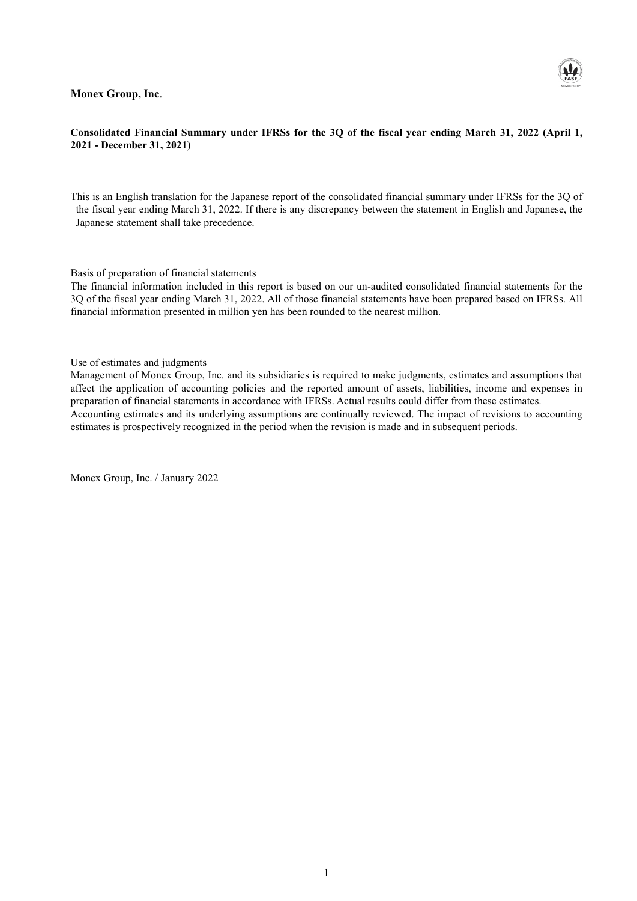#### **Monex Group, Inc**.



#### **Consolidated Financial Summary under IFRSs for the 3Q of the fiscal year ending March 31, 2022 (April 1, 2021 - December 31, 2021)**

This is an English translation for the Japanese report of the consolidated financial summary under IFRSs for the 3Q of the fiscal year ending March 31, 2022. If there is any discrepancy between the statement in English and Japanese, the Japanese statement shall take precedence.

Basis of preparation of financial statements

The financial information included in this report is based on our un-audited consolidated financial statements for the 3Q of the fiscal year ending March 31, 2022. All of those financial statements have been prepared based on IFRSs. All financial information presented in million yen has been rounded to the nearest million.

Use of estimates and judgments

Management of Monex Group, Inc. and its subsidiaries is required to make judgments, estimates and assumptions that affect the application of accounting policies and the reported amount of assets, liabilities, income and expenses in preparation of financial statements in accordance with IFRSs. Actual results could differ from these estimates. Accounting estimates and its underlying assumptions are continually reviewed. The impact of revisions to accounting estimates is prospectively recognized in the period when the revision is made and in subsequent periods.

Monex Group, Inc. / January 2022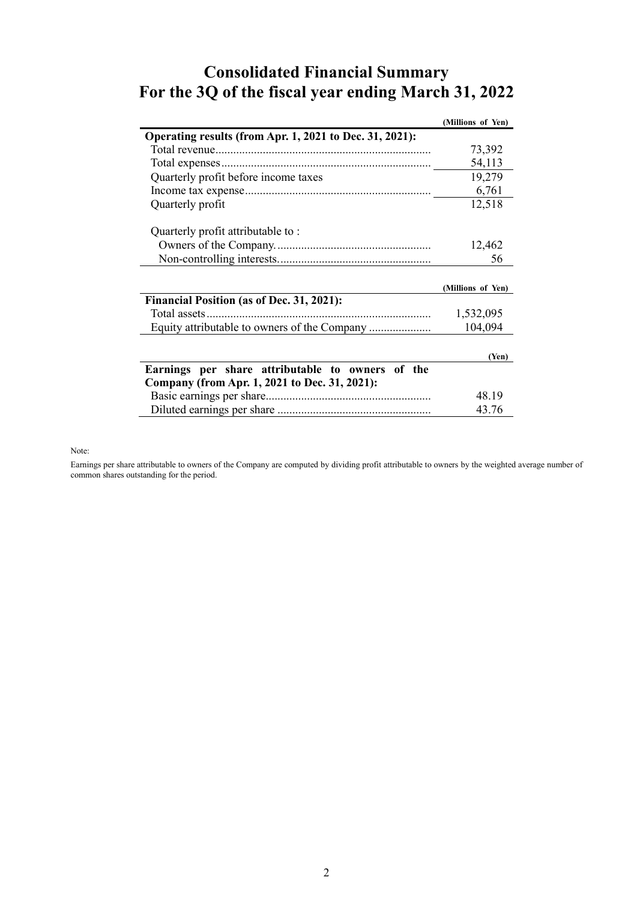### **Consolidated Financial Summary For the 3Q of the fiscal year ending March 31, 2022**

|                                                         | (Millions of Yen) |
|---------------------------------------------------------|-------------------|
| Operating results (from Apr. 1, 2021 to Dec. 31, 2021): |                   |
|                                                         | 73,392            |
|                                                         | 54,113            |
| Quarterly profit before income taxes                    | 19,279            |
|                                                         | 6,761             |
| Quarterly profit                                        | 12,518            |
| Quarterly profit attributable to:                       |                   |
|                                                         | 12,462            |
|                                                         | 56                |
|                                                         |                   |
|                                                         |                   |
|                                                         | (Millions of Yen) |
| Financial Position (as of Dec. 31, 2021):               |                   |
|                                                         | 1,532,095         |
| Equity attributable to owners of the Company            | 104,094           |
|                                                         |                   |
|                                                         | (Yen)             |
| Earnings per share attributable to owners of the        |                   |
| Company (from Apr. 1, 2021 to Dec. 31, 2021):           |                   |
|                                                         | 48.19             |

Note:

Earnings per share attributable to owners of the Company are computed by dividing profit attributable to owners by the weighted average number of common shares outstanding for the period.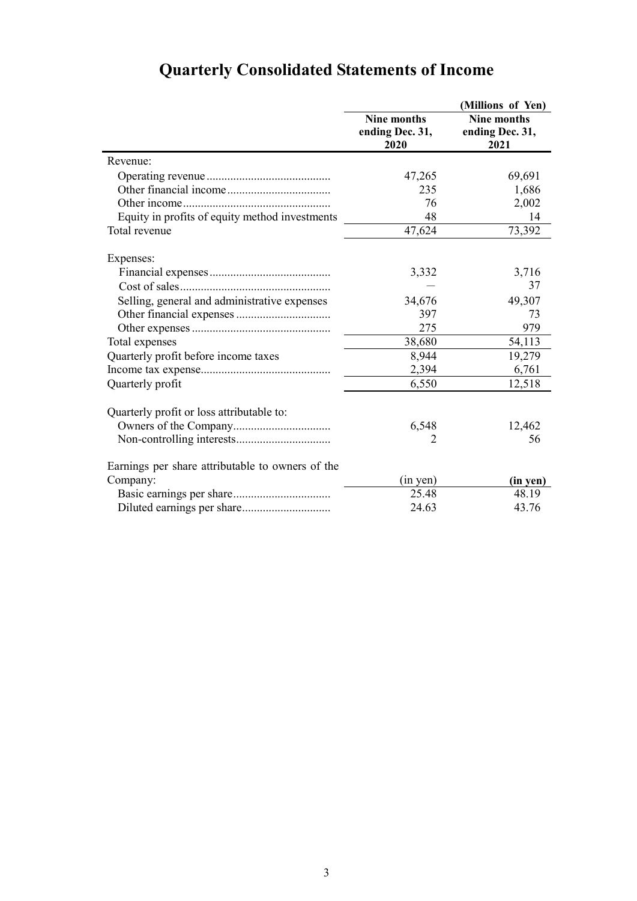|                                                  |                                               | (Millions of Yen)                      |
|--------------------------------------------------|-----------------------------------------------|----------------------------------------|
|                                                  | <b>Nine months</b><br>ending Dec. 31,<br>2020 | Nine months<br>ending Dec. 31,<br>2021 |
| Revenue:                                         |                                               |                                        |
|                                                  | 47,265                                        | 69,691                                 |
|                                                  | 235                                           | 1,686                                  |
|                                                  | 76                                            | 2,002                                  |
| Equity in profits of equity method investments   | 48                                            | 14                                     |
| Total revenue                                    | 47,624                                        | 73,392                                 |
| Expenses:                                        |                                               |                                        |
|                                                  | 3,332                                         | 3,716                                  |
|                                                  |                                               | 37                                     |
| Selling, general and administrative expenses     | 34,676                                        | 49,307                                 |
|                                                  | 397                                           | 73                                     |
|                                                  | 275                                           | 979                                    |
| Total expenses                                   | 38,680                                        | 54,113                                 |
| Quarterly profit before income taxes             | 8,944                                         | 19,279                                 |
|                                                  | 2,394                                         | 6,761                                  |
| Quarterly profit                                 | 6,550                                         | 12,518                                 |
| Quarterly profit or loss attributable to:        |                                               |                                        |
|                                                  | 6,548                                         | 12,462                                 |
|                                                  | 2                                             | 56                                     |
| Earnings per share attributable to owners of the |                                               |                                        |
| Company:                                         | (in yen)                                      | (in yen)                               |
|                                                  | 25.48                                         | 48.19                                  |
|                                                  | 24.63                                         | 43.76                                  |

# **Quarterly Consolidated Statements of Income**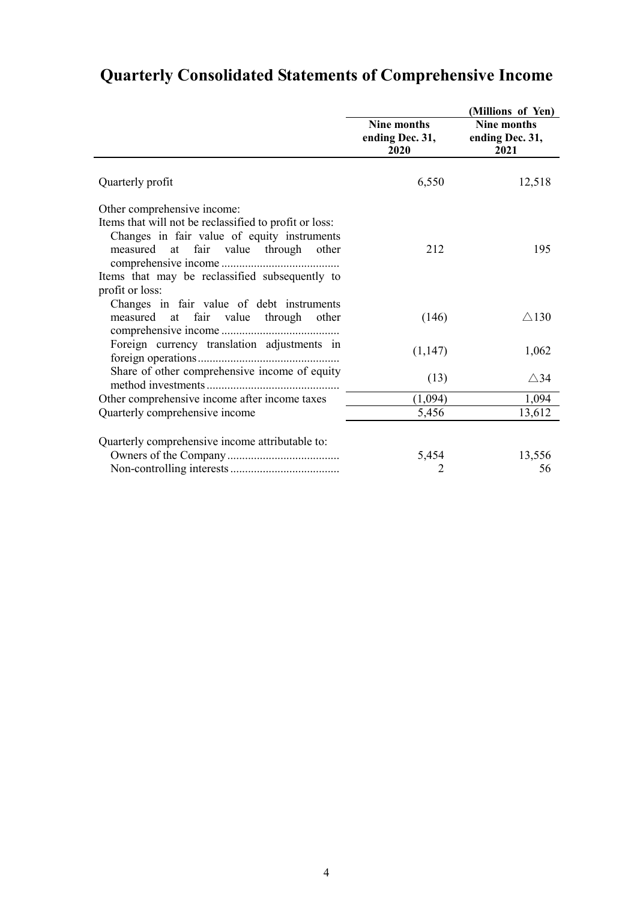|                                                                                                                                                                                                                                                   | <b>Nine months</b><br>ending Dec. 31,<br>2020 | (Millions of Yen)<br>Nine months<br>ending Dec. 31,<br>2021 |
|---------------------------------------------------------------------------------------------------------------------------------------------------------------------------------------------------------------------------------------------------|-----------------------------------------------|-------------------------------------------------------------|
| Quarterly profit                                                                                                                                                                                                                                  | 6,550                                         | 12,518                                                      |
| Other comprehensive income:<br>Items that will not be reclassified to profit or loss:<br>Changes in fair value of equity instruments<br>measured at fair value through other<br>Items that may be reclassified subsequently to<br>profit or loss: | 212                                           | 195                                                         |
| Changes in fair value of debt instruments<br>measured at fair value through<br>other                                                                                                                                                              | (146)                                         | $\triangle$ 130                                             |
| Foreign currency translation adjustments in                                                                                                                                                                                                       | (1,147)                                       | 1,062                                                       |
| Share of other comprehensive income of equity                                                                                                                                                                                                     | (13)                                          | $\triangle$ 34                                              |
| Other comprehensive income after income taxes                                                                                                                                                                                                     | (1,094)                                       | 1,094                                                       |
| Quarterly comprehensive income                                                                                                                                                                                                                    | 5,456                                         | 13,612                                                      |
| Quarterly comprehensive income attributable to:                                                                                                                                                                                                   | 5,454<br>2                                    | 13,556<br>56                                                |

### **Quarterly Consolidated Statements of Comprehensive Income**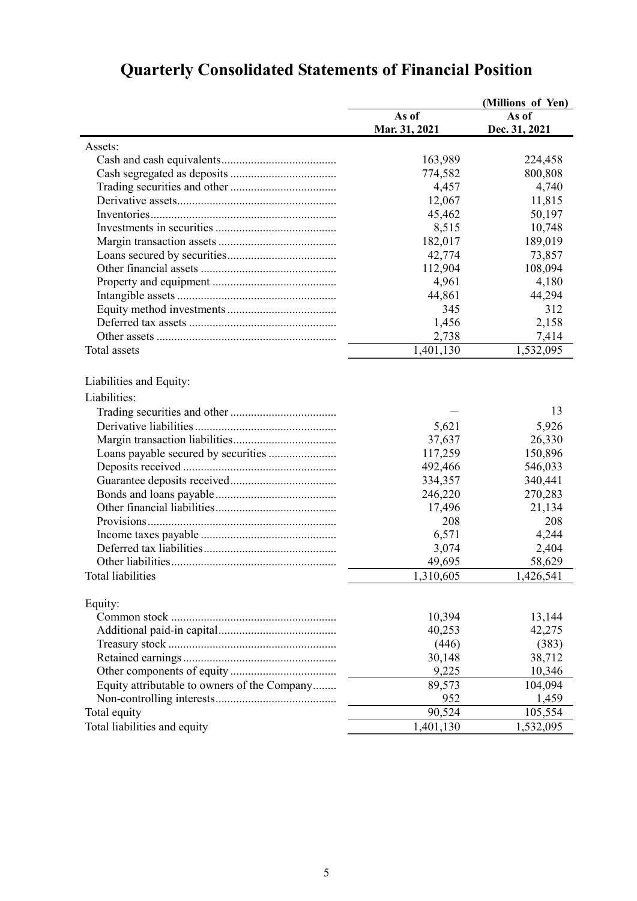| As of<br>As of<br>Dec. 31, 2021<br>Mar. 31, 2021<br>Assets:<br>163,989<br>224,458<br>774,582<br>800,808<br>4,457<br>4,740<br>12,067<br>11,815<br>50,197<br>45,462<br>10,748<br>8,515<br>182,017<br>189,019<br>42,774<br>73,857<br>108,094<br>112,904<br>4,961<br>4,180<br>44,294<br>44,861<br>312<br>345<br>1,456<br>2,158<br>2,738<br>7,414<br>1,532,095<br><b>Total</b> assets<br>1,401,130<br>Liabilities and Equity:<br>Liabilities:<br>13<br>5,621<br>5,926<br>26,330<br>37,637<br>117,259<br>150,896<br>492,466<br>546,033<br>334,357<br>340,441<br>246,220<br>270,283<br>17,496<br>21,134<br>208<br>208<br>4,244<br>6,571<br>2,404<br>3,074<br>58,629<br>49,695<br>1,310,605<br>1,426,541<br>Total liabilities<br>Equity:<br>10,394<br>13,144<br>40,253<br>42,275<br>(446)<br>(383)<br>38,712<br>30,148<br>9,225<br>10,346<br>Equity attributable to owners of the Company<br>89,573<br>104,094<br>952<br>1,459<br>90,524<br>105,554<br>Total equity<br>1,401,130<br>Total liabilities and equity<br>1,532,095 |  | (Millions of Yen) |
|-----------------------------------------------------------------------------------------------------------------------------------------------------------------------------------------------------------------------------------------------------------------------------------------------------------------------------------------------------------------------------------------------------------------------------------------------------------------------------------------------------------------------------------------------------------------------------------------------------------------------------------------------------------------------------------------------------------------------------------------------------------------------------------------------------------------------------------------------------------------------------------------------------------------------------------------------------------------------------------------------------------------------|--|-------------------|
|                                                                                                                                                                                                                                                                                                                                                                                                                                                                                                                                                                                                                                                                                                                                                                                                                                                                                                                                                                                                                       |  |                   |
|                                                                                                                                                                                                                                                                                                                                                                                                                                                                                                                                                                                                                                                                                                                                                                                                                                                                                                                                                                                                                       |  |                   |
|                                                                                                                                                                                                                                                                                                                                                                                                                                                                                                                                                                                                                                                                                                                                                                                                                                                                                                                                                                                                                       |  |                   |
|                                                                                                                                                                                                                                                                                                                                                                                                                                                                                                                                                                                                                                                                                                                                                                                                                                                                                                                                                                                                                       |  |                   |
|                                                                                                                                                                                                                                                                                                                                                                                                                                                                                                                                                                                                                                                                                                                                                                                                                                                                                                                                                                                                                       |  |                   |
|                                                                                                                                                                                                                                                                                                                                                                                                                                                                                                                                                                                                                                                                                                                                                                                                                                                                                                                                                                                                                       |  |                   |
|                                                                                                                                                                                                                                                                                                                                                                                                                                                                                                                                                                                                                                                                                                                                                                                                                                                                                                                                                                                                                       |  |                   |
|                                                                                                                                                                                                                                                                                                                                                                                                                                                                                                                                                                                                                                                                                                                                                                                                                                                                                                                                                                                                                       |  |                   |
|                                                                                                                                                                                                                                                                                                                                                                                                                                                                                                                                                                                                                                                                                                                                                                                                                                                                                                                                                                                                                       |  |                   |
|                                                                                                                                                                                                                                                                                                                                                                                                                                                                                                                                                                                                                                                                                                                                                                                                                                                                                                                                                                                                                       |  |                   |
|                                                                                                                                                                                                                                                                                                                                                                                                                                                                                                                                                                                                                                                                                                                                                                                                                                                                                                                                                                                                                       |  |                   |
|                                                                                                                                                                                                                                                                                                                                                                                                                                                                                                                                                                                                                                                                                                                                                                                                                                                                                                                                                                                                                       |  |                   |
|                                                                                                                                                                                                                                                                                                                                                                                                                                                                                                                                                                                                                                                                                                                                                                                                                                                                                                                                                                                                                       |  |                   |
|                                                                                                                                                                                                                                                                                                                                                                                                                                                                                                                                                                                                                                                                                                                                                                                                                                                                                                                                                                                                                       |  |                   |
|                                                                                                                                                                                                                                                                                                                                                                                                                                                                                                                                                                                                                                                                                                                                                                                                                                                                                                                                                                                                                       |  |                   |
|                                                                                                                                                                                                                                                                                                                                                                                                                                                                                                                                                                                                                                                                                                                                                                                                                                                                                                                                                                                                                       |  |                   |
|                                                                                                                                                                                                                                                                                                                                                                                                                                                                                                                                                                                                                                                                                                                                                                                                                                                                                                                                                                                                                       |  |                   |
|                                                                                                                                                                                                                                                                                                                                                                                                                                                                                                                                                                                                                                                                                                                                                                                                                                                                                                                                                                                                                       |  |                   |
|                                                                                                                                                                                                                                                                                                                                                                                                                                                                                                                                                                                                                                                                                                                                                                                                                                                                                                                                                                                                                       |  |                   |
|                                                                                                                                                                                                                                                                                                                                                                                                                                                                                                                                                                                                                                                                                                                                                                                                                                                                                                                                                                                                                       |  |                   |
|                                                                                                                                                                                                                                                                                                                                                                                                                                                                                                                                                                                                                                                                                                                                                                                                                                                                                                                                                                                                                       |  |                   |
|                                                                                                                                                                                                                                                                                                                                                                                                                                                                                                                                                                                                                                                                                                                                                                                                                                                                                                                                                                                                                       |  |                   |
|                                                                                                                                                                                                                                                                                                                                                                                                                                                                                                                                                                                                                                                                                                                                                                                                                                                                                                                                                                                                                       |  |                   |
|                                                                                                                                                                                                                                                                                                                                                                                                                                                                                                                                                                                                                                                                                                                                                                                                                                                                                                                                                                                                                       |  |                   |
|                                                                                                                                                                                                                                                                                                                                                                                                                                                                                                                                                                                                                                                                                                                                                                                                                                                                                                                                                                                                                       |  |                   |
|                                                                                                                                                                                                                                                                                                                                                                                                                                                                                                                                                                                                                                                                                                                                                                                                                                                                                                                                                                                                                       |  |                   |
|                                                                                                                                                                                                                                                                                                                                                                                                                                                                                                                                                                                                                                                                                                                                                                                                                                                                                                                                                                                                                       |  |                   |
|                                                                                                                                                                                                                                                                                                                                                                                                                                                                                                                                                                                                                                                                                                                                                                                                                                                                                                                                                                                                                       |  |                   |
|                                                                                                                                                                                                                                                                                                                                                                                                                                                                                                                                                                                                                                                                                                                                                                                                                                                                                                                                                                                                                       |  |                   |
|                                                                                                                                                                                                                                                                                                                                                                                                                                                                                                                                                                                                                                                                                                                                                                                                                                                                                                                                                                                                                       |  |                   |
|                                                                                                                                                                                                                                                                                                                                                                                                                                                                                                                                                                                                                                                                                                                                                                                                                                                                                                                                                                                                                       |  |                   |
|                                                                                                                                                                                                                                                                                                                                                                                                                                                                                                                                                                                                                                                                                                                                                                                                                                                                                                                                                                                                                       |  |                   |
|                                                                                                                                                                                                                                                                                                                                                                                                                                                                                                                                                                                                                                                                                                                                                                                                                                                                                                                                                                                                                       |  |                   |
|                                                                                                                                                                                                                                                                                                                                                                                                                                                                                                                                                                                                                                                                                                                                                                                                                                                                                                                                                                                                                       |  |                   |
|                                                                                                                                                                                                                                                                                                                                                                                                                                                                                                                                                                                                                                                                                                                                                                                                                                                                                                                                                                                                                       |  |                   |
|                                                                                                                                                                                                                                                                                                                                                                                                                                                                                                                                                                                                                                                                                                                                                                                                                                                                                                                                                                                                                       |  |                   |
|                                                                                                                                                                                                                                                                                                                                                                                                                                                                                                                                                                                                                                                                                                                                                                                                                                                                                                                                                                                                                       |  |                   |
|                                                                                                                                                                                                                                                                                                                                                                                                                                                                                                                                                                                                                                                                                                                                                                                                                                                                                                                                                                                                                       |  |                   |
|                                                                                                                                                                                                                                                                                                                                                                                                                                                                                                                                                                                                                                                                                                                                                                                                                                                                                                                                                                                                                       |  |                   |
|                                                                                                                                                                                                                                                                                                                                                                                                                                                                                                                                                                                                                                                                                                                                                                                                                                                                                                                                                                                                                       |  |                   |
|                                                                                                                                                                                                                                                                                                                                                                                                                                                                                                                                                                                                                                                                                                                                                                                                                                                                                                                                                                                                                       |  |                   |
|                                                                                                                                                                                                                                                                                                                                                                                                                                                                                                                                                                                                                                                                                                                                                                                                                                                                                                                                                                                                                       |  |                   |
|                                                                                                                                                                                                                                                                                                                                                                                                                                                                                                                                                                                                                                                                                                                                                                                                                                                                                                                                                                                                                       |  |                   |
|                                                                                                                                                                                                                                                                                                                                                                                                                                                                                                                                                                                                                                                                                                                                                                                                                                                                                                                                                                                                                       |  |                   |
|                                                                                                                                                                                                                                                                                                                                                                                                                                                                                                                                                                                                                                                                                                                                                                                                                                                                                                                                                                                                                       |  |                   |